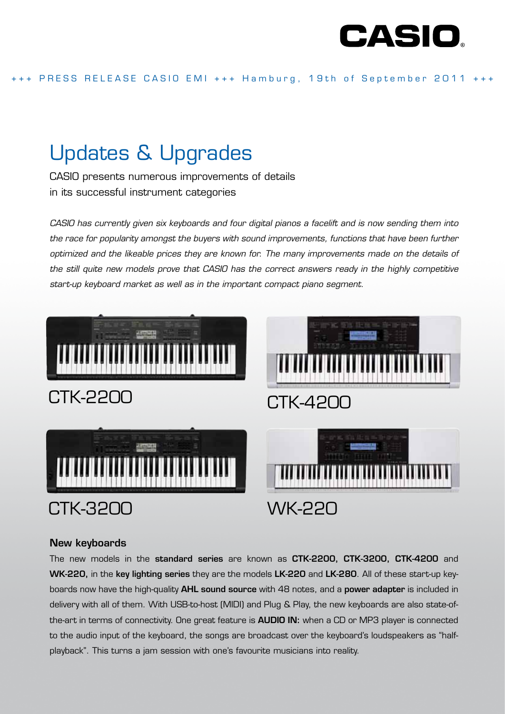

# Updates & Upgrades

CASIO presents numerous improvements of details in its successful instrument categories

*CASIO has currently given six keyboards and four digital pianos a facelift and is now sending them into the race for popularity amongst the buyers with sound improvements, functions that have been further optimized and the likeable prices they are known for. The many improvements made on the details of the still quite new models prove that CASIO has the correct answers ready in the highly competitive start-up keyboard market as well as in the important compact piano segment.* 



# New keyboards

The new models in the standard series are known as CTK-2200, CTK-3200, CTK-4200 and WK-220, in the key lighting series they are the models LK-220 and LK-280. All of these start-up keyboards now have the high-quality **AHL sound source** with 48 notes, and a **power adapter** is included in delivery with all of them. With USB-to-host (MIDI) and Plug & Play, the new keyboards are also state-ofthe-art in terms of connectivity. One great feature is **AUDIO IN:** when a CD or MP3 player is connected to the audio input of the keyboard, the songs are broadcast over the keyboard's loudspeakers as "halfplayback". This turns a jam session with one's favourite musicians into reality.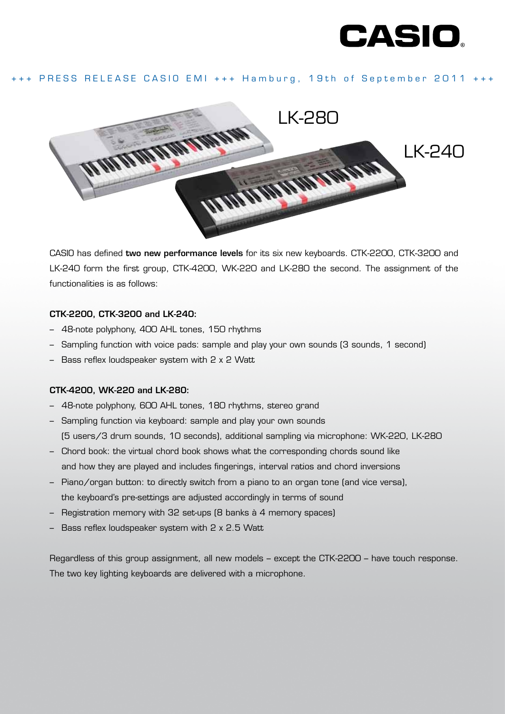

# +++ PRESS RELEASE CASIO EMI +++ Hamburg, 19th of September 2011 +++



CASIO has defined two new performance levels for its six new keyboards. CTK-2200, CTK-3200 and LK-240 form the first group, CTK-4200, WK-220 and LK-280 the second. The assignment of the functionalities is as follows:

#### CTK-2200, CTK-3200 and LK-240:

- 48-note polyphony, 400 AHL tones, 150 rhythms
- Sampling function with voice pads: sample and play your own sounds (3 sounds, 1 second)
- Bass reflex loudspeaker system with 2 x 2 Watt

#### CTK-4200, WK-220 and LK-280:

- 48-note polyphony, 600 AHL tones, 180 rhythms, stereo grand
- Sampling function via keyboard: sample and play your own sounds (5 users/3 drum sounds, 10 seconds), additional sampling via microphone: WK-220, LK-280
- Chord book: the virtual chord book shows what the corresponding chords sound like and how they are played and includes fingerings, interval ratios and chord inversions
- Piano/organ button: to directly switch from a piano to an organ tone (and vice versa), the keyboard's pre-settings are adjusted accordingly in terms of sound
- Registration memory with 32 set-ups (8 banks à 4 memory spaces)
- Bass reflex loudspeaker system with 2 x 2.5 Watt

Regardless of this group assignment, all new models – except the CTK-2200 – have touch response. The two key lighting keyboards are delivered with a microphone.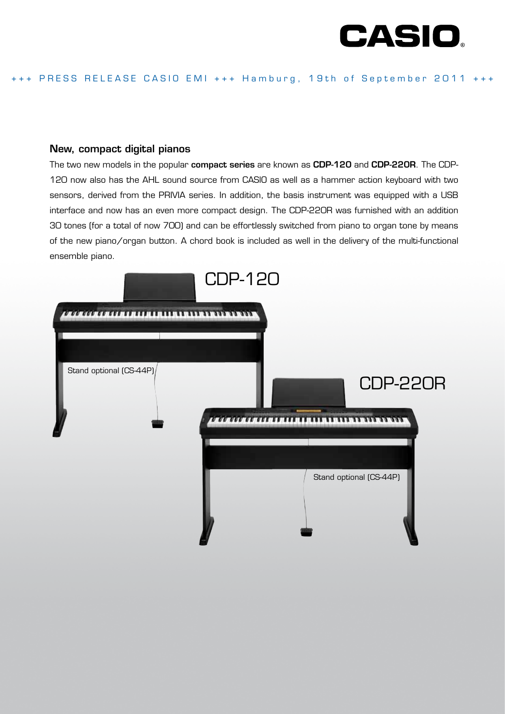

### New, compact digital pianos

The two new models in the popular compact series are known as CDP-120 and CDP-220R. The CDP-120 now also has the AHL sound source from CASIO as well as a hammer action keyboard with two sensors, derived from the PRIVIA series. In addition, the basis instrument was equipped with a USB interface and now has an even more compact design. The CDP-220R was furnished with an addition 30 tones (for a total of now 700) and can be effortlessly switched from piano to organ tone by means of the new piano/organ button. A chord book is included as well in the delivery of the multi-functional ensemble piano.